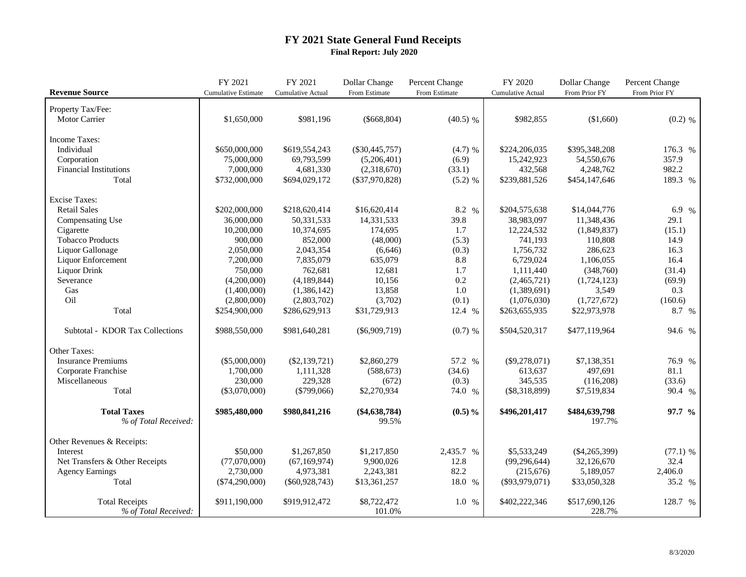## **FY 2021 State General Fund Receipts Final Report: July 2020**

| <b>Revenue Source</b>                         | FY 2021<br><b>Cumulative Estimate</b> | FY 2021<br><b>Cumulative Actual</b> | Dollar Change<br>From Estimate | Percent Change<br>From Estimate | FY 2020<br><b>Cumulative Actual</b> | Dollar Change<br>From Prior FY | Percent Change<br>From Prior FY |
|-----------------------------------------------|---------------------------------------|-------------------------------------|--------------------------------|---------------------------------|-------------------------------------|--------------------------------|---------------------------------|
|                                               |                                       |                                     |                                |                                 |                                     |                                |                                 |
| Property Tax/Fee:                             |                                       |                                     |                                |                                 |                                     |                                |                                 |
| Motor Carrier                                 | \$1,650,000                           | \$981,196                           | $(\$668, 804)$                 | $(40.5)$ %                      | \$982,855                           | (\$1,660)                      | $(0.2)$ %                       |
|                                               |                                       |                                     |                                |                                 |                                     |                                |                                 |
| Income Taxes:                                 |                                       |                                     |                                |                                 |                                     |                                |                                 |
| Individual                                    | \$650,000,000                         | \$619,554,243                       | $(\$30,445,757)$               | $(4.7)$ %                       | \$224,206,035                       | \$395,348,208                  | 176.3 %                         |
| Corporation                                   | 75,000,000                            | 69,793,599                          | (5,206,401)                    | (6.9)                           | 15,242,923                          | 54,550,676                     | 357.9                           |
| <b>Financial Institutions</b>                 | 7,000,000                             | 4,681,330                           | (2,318,670)                    | (33.1)                          | 432,568                             | 4,248,762                      | 982.2                           |
| Total                                         | \$732,000,000                         | \$694,029,172                       | $(\$37,970,828)$               | $(5.2)$ %                       | \$239,881,526                       | \$454,147,646                  | 189.3 %                         |
| <b>Excise Taxes:</b>                          |                                       |                                     |                                |                                 |                                     |                                |                                 |
| <b>Retail Sales</b>                           | \$202,000,000                         | \$218,620,414                       | \$16,620,414                   | 8.2 %                           | \$204,575,638                       | \$14,044,776                   | 6.9 %                           |
| Compensating Use                              | 36,000,000                            | 50,331,533                          | 14,331,533                     | 39.8                            | 38,983,097                          | 11,348,436                     | 29.1                            |
| Cigarette                                     | 10,200,000                            | 10,374,695                          | 174,695                        | 1.7                             | 12,224,532                          | (1,849,837)                    | (15.1)                          |
| <b>Tobacco Products</b>                       | 900,000                               | 852,000                             | (48,000)                       | (5.3)                           | 741,193                             | 110,808                        | 14.9                            |
| Liquor Gallonage                              | 2,050,000                             | 2,043,354                           | (6,646)                        | (0.3)                           | 1,756,732                           | 286,623                        | 16.3                            |
| Liquor Enforcement                            | 7,200,000                             | 7,835,079                           | 635,079                        | 8.8                             | 6,729,024                           | 1,106,055                      | 16.4                            |
| Liquor Drink                                  | 750,000                               | 762,681                             | 12,681                         | 1.7                             | 1,111,440                           | (348,760)                      | (31.4)                          |
| Severance                                     | (4,200,000)                           | (4,189,844)                         | 10,156                         | $0.2\,$                         | (2,465,721)                         | (1,724,123)                    | (69.9)                          |
| Gas                                           | (1,400,000)                           | (1,386,142)                         | 13,858                         | $1.0\,$                         | (1,389,691)                         | 3,549                          | 0.3                             |
| Oil                                           | (2,800,000)                           | (2,803,702)                         | (3,702)                        | (0.1)                           | (1,076,030)                         | (1,727,672)                    | (160.6)                         |
| Total                                         | \$254,900,000                         | \$286,629,913                       | \$31,729,913                   | 12.4 %                          | \$263,655,935                       | \$22,973,978                   | 8.7 %                           |
| Subtotal - KDOR Tax Collections               | \$988,550,000                         | \$981,640,281                       | $(\$6,909,719)$                | $(0.7)$ %                       | \$504,520,317                       | \$477,119,964                  | 94.6 %                          |
| Other Taxes:                                  |                                       |                                     |                                |                                 |                                     |                                |                                 |
| <b>Insurance Premiums</b>                     | $(\$5,000,000)$                       | $(\$2,139,721)$                     | \$2,860,279                    | 57.2 %                          | $(\$9,278,071)$                     | \$7,138,351                    | 76.9 %                          |
| Corporate Franchise                           | 1,700,000                             | 1,111,328                           | (588, 673)                     | (34.6)                          | 613,637                             | 497,691                        | 81.1                            |
| Miscellaneous                                 | 230,000                               | 229,328                             | (672)                          | (0.3)                           | 345,535                             | (116,208)                      | (33.6)                          |
| Total                                         | $(\$3,070,000)$                       | $(\$799,066)$                       | \$2,270,934                    | 74.0 %                          | $(\$8,318,899)$                     | \$7,519,834                    | 90.4 %                          |
| <b>Total Taxes</b><br>% of Total Received:    | \$985,480,000                         | \$980,841,216                       | $(\$4,638,784)$<br>99.5%       | $(0.5) \%$                      | \$496,201,417                       | \$484,639,798<br>197.7%        | 97.7 %                          |
| Other Revenues & Receipts:                    |                                       |                                     |                                |                                 |                                     |                                |                                 |
| Interest                                      | \$50,000                              | \$1,267,850                         | \$1,217,850                    | 2,435.7 %                       | \$5,533,249                         | $(\$4,265,399)$                | $(77.1)$ %                      |
| Net Transfers & Other Receipts                | (77,070,000)                          | (67, 169, 974)                      | 9,900,026                      | 12.8                            | (99, 296, 644)                      | 32,126,670                     | 32.4                            |
| <b>Agency Earnings</b>                        | 2,730,000                             | 4,973,381                           | 2,243,381                      | 82.2                            | (215,676)                           | 5,189,057                      | 2,406.0                         |
| Total                                         | $(\$74,290,000)$                      | $(\$60,928,743)$                    | \$13,361,257                   | 18.0 %                          | $(\$93,979,071)$                    | \$33,050,328                   | 35.2 %                          |
| <b>Total Receipts</b><br>% of Total Received: | \$911,190,000                         | \$919,912,472                       | \$8,722,472<br>101.0%          | 1.0%                            | \$402,222,346                       | \$517,690,126<br>228.7%        | 128.7 %                         |